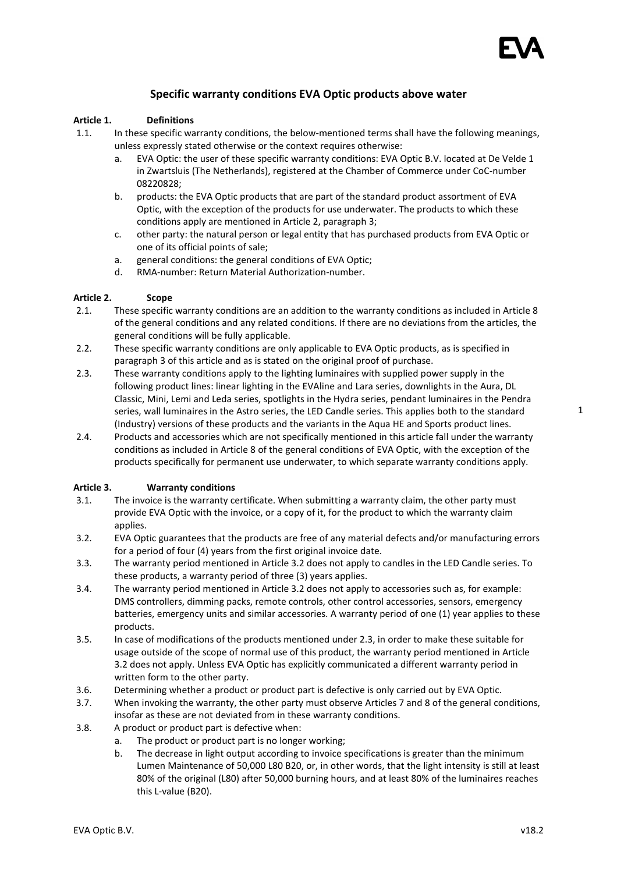# Specific warranty conditions EVA Optic products above water

## Article 1. Definitions

- 1.1. In these specific warranty conditions, the below-mentioned terms shall have the following meanings, unless expressly stated otherwise or the context requires otherwise:
	- a. EVA Optic: the user of these specific warranty conditions: EVA Optic B.V. located at De Velde 1 in Zwartsluis (The Netherlands), registered at the Chamber of Commerce under CoC-number 08220828;
	- b. products: the EVA Optic products that are part of the standard product assortment of EVA Optic, with the exception of the products for use underwater. The products to which these conditions apply are mentioned in Article 2, paragraph 3;
	- c. other party: the natural person or legal entity that has purchased products from EVA Optic or one of its official points of sale;
	- a. general conditions: the general conditions of EVA Optic;
	- d. RMA-number: Return Material Authorization-number.

# Article 2. Scope

- 2.1. These specific warranty conditions are an addition to the warranty conditions as included in Article 8 of the general conditions and any related conditions. If there are no deviations from the articles, the general conditions will be fully applicable.
- 2.2. These specific warranty conditions are only applicable to EVA Optic products, as is specified in paragraph 3 of this article and as is stated on the original proof of purchase.
- 2.3. These warranty conditions apply to the lighting luminaires with supplied power supply in the following product lines: linear lighting in the EVAline and Lara series, downlights in the Aura, DL Classic, Mini, Lemi and Leda series, spotlights in the Hydra series, pendant luminaires in the Pendra series, wall luminaires in the Astro series, the LED Candle series. This applies both to the standard (Industry) versions of these products and the variants in the Aqua HE and Sports product lines.
- 2.4. Products and accessories which are not specifically mentioned in this article fall under the warranty conditions as included in Article 8 of the general conditions of EVA Optic, with the exception of the products specifically for permanent use underwater, to which separate warranty conditions apply.

#### Article 3. Warranty conditions

- 3.1. The invoice is the warranty certificate. When submitting a warranty claim, the other party must provide EVA Optic with the invoice, or a copy of it, for the product to which the warranty claim applies.
- 3.2. EVA Optic guarantees that the products are free of any material defects and/or manufacturing errors for a period of four (4) years from the first original invoice date.
- 3.3. The warranty period mentioned in Article 3.2 does not apply to candles in the LED Candle series. To these products, a warranty period of three (3) years applies.
- 3.4. The warranty period mentioned in Article 3.2 does not apply to accessories such as, for example: DMS controllers, dimming packs, remote controls, other control accessories, sensors, emergency batteries, emergency units and similar accessories. A warranty period of one (1) year applies to these products.
- 3.5. In case of modifications of the products mentioned under 2.3, in order to make these suitable for usage outside of the scope of normal use of this product, the warranty period mentioned in Article 3.2 does not apply. Unless EVA Optic has explicitly communicated a different warranty period in written form to the other party.
- 3.6. Determining whether a product or product part is defective is only carried out by EVA Optic.
- 3.7. When invoking the warranty, the other party must observe Articles 7 and 8 of the general conditions, insofar as these are not deviated from in these warranty conditions.
- 3.8. A product or product part is defective when:
	- a. The product or product part is no longer working;
	- b. The decrease in light output according to invoice specifications is greater than the minimum Lumen Maintenance of 50,000 L80 B20, or, in other words, that the light intensity is still at least 80% of the original (L80) after 50,000 burning hours, and at least 80% of the luminaires reaches this L-value (B20).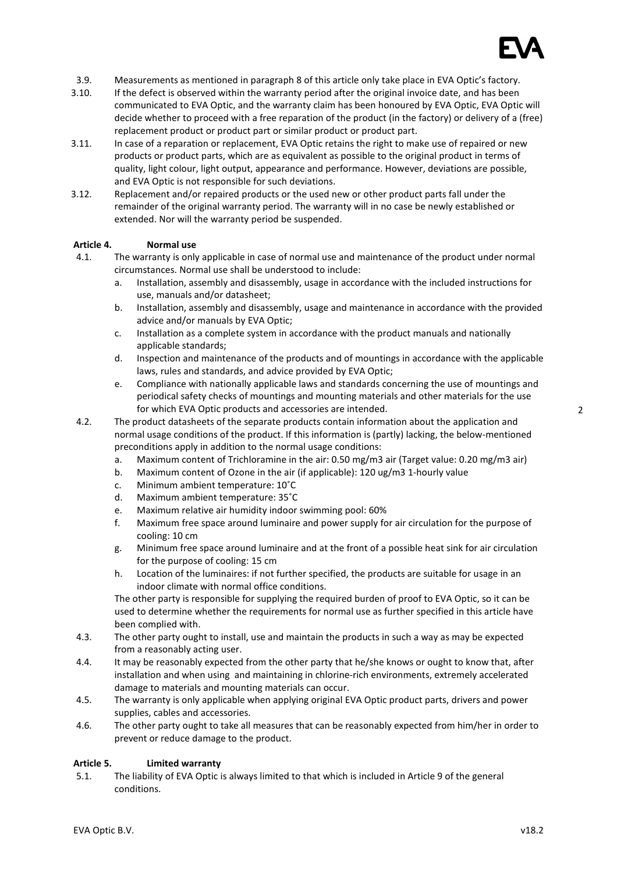

- 3.9. Measurements as mentioned in paragraph 8 of this article only take place in EVA Optic's factory.
- 3.10. If the defect is observed within the warranty period after the original invoice date, and has been communicated to EVA Optic, and the warranty claim has been honoured by EVA Optic, EVA Optic will decide whether to proceed with a free reparation of the product (in the factory) or delivery of a (free) replacement product or product part or similar product or product part.
- 3.11. In case of a reparation or replacement, EVA Optic retains the right to make use of repaired or new products or product parts, which are as equivalent as possible to the original product in terms of quality, light colour, light output, appearance and performance. However, deviations are possible, and EVA Optic is not responsible for such deviations.
- 3.12. Replacement and/or repaired products or the used new or other product parts fall under the remainder of the original warranty period. The warranty will in no case be newly established or extended. Nor will the warranty period be suspended.

#### Article 4. Normal use

- 4.1. The warranty is only applicable in case of normal use and maintenance of the product under normal circumstances. Normal use shall be understood to include:
	- a. Installation, assembly and disassembly, usage in accordance with the included instructions for use, manuals and/or datasheet;
	- b. Installation, assembly and disassembly, usage and maintenance in accordance with the provided advice and/or manuals by EVA Optic;
	- c. Installation as a complete system in accordance with the product manuals and nationally applicable standards;
	- d. Inspection and maintenance of the products and of mountings in accordance with the applicable laws, rules and standards, and advice provided by EVA Optic;
	- e. Compliance with nationally applicable laws and standards concerning the use of mountings and periodical safety checks of mountings and mounting materials and other materials for the use for which EVA Optic products and accessories are intended.
- 4.2. The product datasheets of the separate products contain information about the application and normal usage conditions of the product. If this information is (partly) lacking, the below-mentioned preconditions apply in addition to the normal usage conditions:
	- a. Maximum content of Trichloramine in the air: 0.50 mg/m3 air (Target value: 0.20 mg/m3 air)
	- b. Maximum content of Ozone in the air (if applicable): 120 ug/m3 1-hourly value
	- c. Minimum ambient temperature: 10˚C
	- d. Maximum ambient temperature: 35˚C
	- e. Maximum relative air humidity indoor swimming pool: 60%
	- f. Maximum free space around luminaire and power supply for air circulation for the purpose of cooling: 10 cm
	- g. Minimum free space around luminaire and at the front of a possible heat sink for air circulation for the purpose of cooling: 15 cm
	- h. Location of the luminaires: if not further specified, the products are suitable for usage in an indoor climate with normal office conditions.

The other party is responsible for supplying the required burden of proof to EVA Optic, so it can be used to determine whether the requirements for normal use as further specified in this article have been complied with.

- 4.3. The other party ought to install, use and maintain the products in such a way as may be expected from a reasonably acting user.
- 4.4. It may be reasonably expected from the other party that he/she knows or ought to know that, after installation and when using and maintaining in chlorine-rich environments, extremely accelerated damage to materials and mounting materials can occur.
- 4.5. The warranty is only applicable when applying original EVA Optic product parts, drivers and power supplies, cables and accessories.
- 4.6. The other party ought to take all measures that can be reasonably expected from him/her in order to prevent or reduce damage to the product.

#### Article 5. Limited warranty

5.1. The liability of EVA Optic is always limited to that which is included in Article 9 of the general conditions.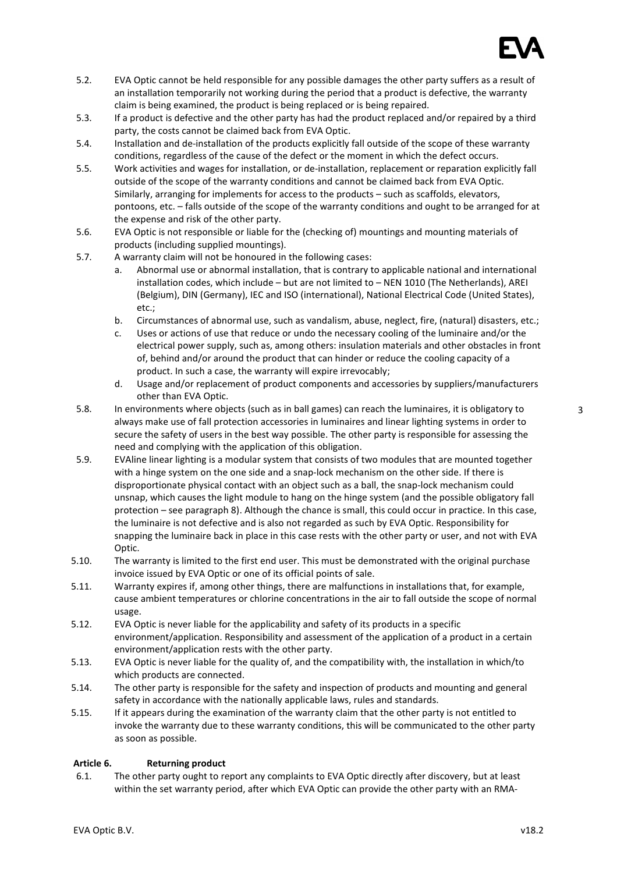

- 5.2. EVA Optic cannot be held responsible for any possible damages the other party suffers as a result of an installation temporarily not working during the period that a product is defective, the warranty claim is being examined, the product is being replaced or is being repaired.
- 5.3. If a product is defective and the other party has had the product replaced and/or repaired by a third party, the costs cannot be claimed back from EVA Optic.
- 5.4. Installation and de-installation of the products explicitly fall outside of the scope of these warranty conditions, regardless of the cause of the defect or the moment in which the defect occurs.
- 5.5. Work activities and wages for installation, or de-installation, replacement or reparation explicitly fall outside of the scope of the warranty conditions and cannot be claimed back from EVA Optic. Similarly, arranging for implements for access to the products – such as scaffolds, elevators, pontoons, etc. – falls outside of the scope of the warranty conditions and ought to be arranged for at the expense and risk of the other party.
- 5.6. EVA Optic is not responsible or liable for the (checking of) mountings and mounting materials of products (including supplied mountings).
- 5.7. A warranty claim will not be honoured in the following cases:
	- a. Abnormal use or abnormal installation, that is contrary to applicable national and international installation codes, which include – but are not limited to – NEN 1010 (The Netherlands), AREI (Belgium), DIN (Germany), IEC and ISO (international), National Electrical Code (United States), etc.;
	- b. Circumstances of abnormal use, such as vandalism, abuse, neglect, fire, (natural) disasters, etc.;
	- c. Uses or actions of use that reduce or undo the necessary cooling of the luminaire and/or the electrical power supply, such as, among others: insulation materials and other obstacles in front of, behind and/or around the product that can hinder or reduce the cooling capacity of a product. In such a case, the warranty will expire irrevocably;
	- d. Usage and/or replacement of product components and accessories by suppliers/manufacturers other than EVA Optic.
- 5.8. In environments where objects (such as in ball games) can reach the luminaires, it is obligatory to always make use of fall protection accessories in luminaires and linear lighting systems in order to secure the safety of users in the best way possible. The other party is responsible for assessing the need and complying with the application of this obligation.
- 5.9. EVAline linear lighting is a modular system that consists of two modules that are mounted together with a hinge system on the one side and a snap-lock mechanism on the other side. If there is disproportionate physical contact with an object such as a ball, the snap-lock mechanism could unsnap, which causes the light module to hang on the hinge system (and the possible obligatory fall protection – see paragraph 8). Although the chance is small, this could occur in practice. In this case, the luminaire is not defective and is also not regarded as such by EVA Optic. Responsibility for snapping the luminaire back in place in this case rests with the other party or user, and not with EVA Optic.
- 5.10. The warranty is limited to the first end user. This must be demonstrated with the original purchase invoice issued by EVA Optic or one of its official points of sale.
- 5.11. Warranty expires if, among other things, there are malfunctions in installations that, for example, cause ambient temperatures or chlorine concentrations in the air to fall outside the scope of normal usage.
- 5.12. EVA Optic is never liable for the applicability and safety of its products in a specific environment/application. Responsibility and assessment of the application of a product in a certain environment/application rests with the other party.
- 5.13. EVA Optic is never liable for the quality of, and the compatibility with, the installation in which/to which products are connected.
- 5.14. The other party is responsible for the safety and inspection of products and mounting and general safety in accordance with the nationally applicable laws, rules and standards.
- 5.15. If it appears during the examination of the warranty claim that the other party is not entitled to invoke the warranty due to these warranty conditions, this will be communicated to the other party as soon as possible.

#### Article 6. Returning product

6.1. The other party ought to report any complaints to EVA Optic directly after discovery, but at least within the set warranty period, after which EVA Optic can provide the other party with an RMA-